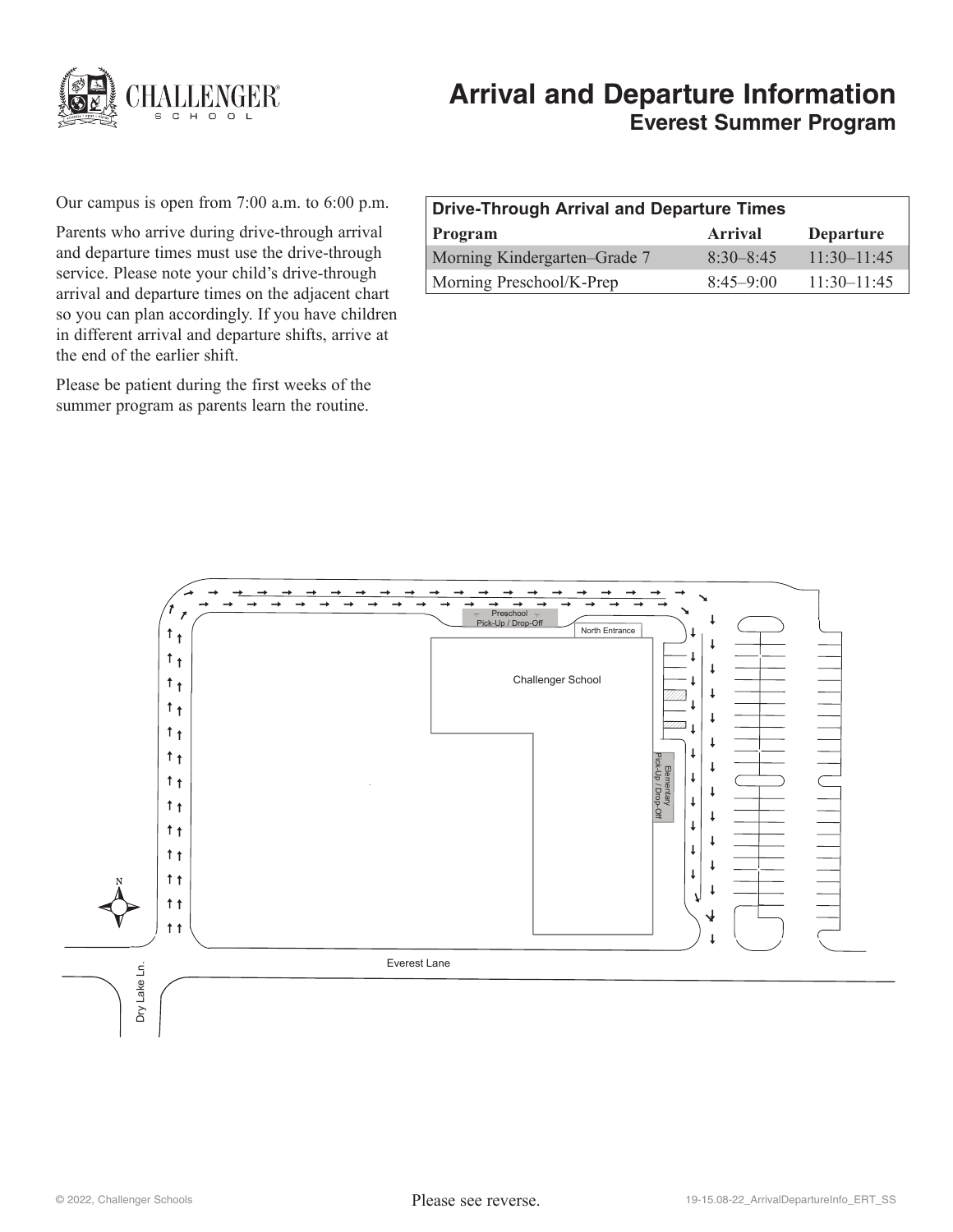

# **Arrival and Departure Information Everest Summer Program**

Our campus is open from 7:00 a.m. to 6:00 p.m.

Parents who arrive during drive-through arrival and departure times must use the drive-through service. Please note your child's drive-through arrival and departure times on the adjacent chart so you can plan accordingly. If you have children in different arrival and departure shifts, arrive at the end of the earlier shift.

Please be patient during the first weeks of the summer program as parents learn the routine.

| Drive-Through Arrival and Departure Times |                |                  |
|-------------------------------------------|----------------|------------------|
| Program                                   | <b>Arrival</b> | <b>Departure</b> |
| Morning Kindergarten–Grade 7              | $8.30 - 8.45$  | $11:30-11:45$    |
| Morning Preschool/K-Prep                  | $8.45 - 9.00$  | $11:30-11:45$    |